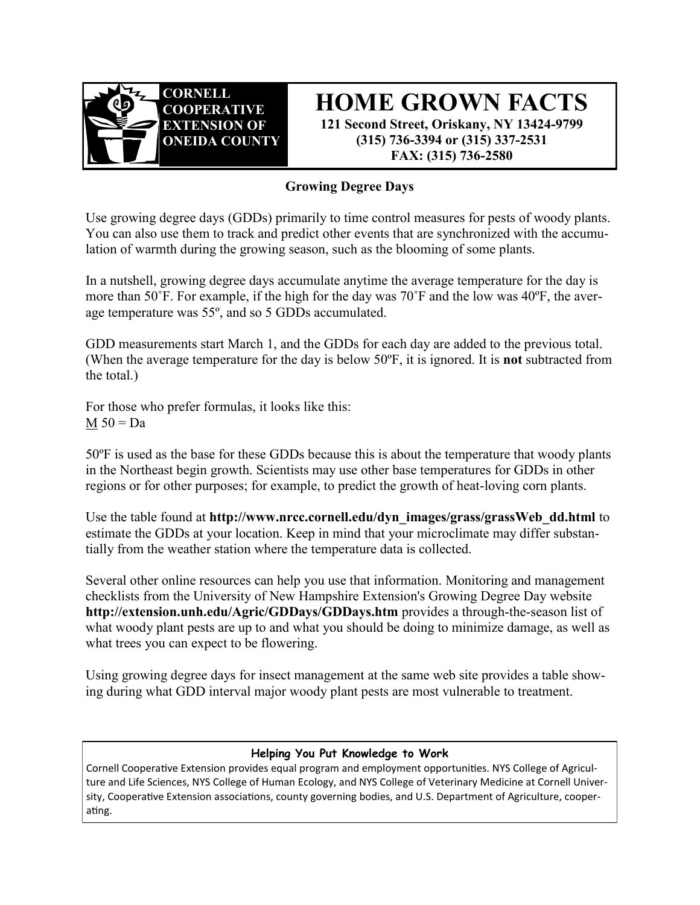

**HOME GROWN FACTS 121 Second Street, Oriskany, NY 13424-9799 (315) 736-3394 or (315) 337-2531 FAX: (315) 736-2580**

## **Growing Degree Days**

Use growing degree days (GDDs) primarily to time control measures for pests of woody plants. You can also use them to track and predict other events that are synchronized with the accumulation of warmth during the growing season, such as the blooming of some plants.

In a nutshell, growing degree days accumulate anytime the average temperature for the day is more than 50˚F. For example, if the high for the day was 70˚F and the low was 40ºF, the average temperature was 55º, and so 5 GDDs accumulated.

GDD measurements start March 1, and the GDDs for each day are added to the previous total. (When the average temperature for the day is below 50ºF, it is ignored. It is **not** subtracted from the total.)

For those who prefer formulas, it looks like this:  $M 50 = Da$ 

50ºF is used as the base for these GDDs because this is about the temperature that woody plants in the Northeast begin growth. Scientists may use other base temperatures for GDDs in other regions or for other purposes; for example, to predict the growth of heat-loving corn plants.

Use [the table](http://www.nrcc.cornell.edu/dyn_images/grass/grassWeb_dd.html) found at **http://www.nrcc.cornell.edu/dyn\_images/grass/grassWeb\_dd.html** to estimate the GDDs at your location. Keep in mind that your [microclimate](http://www.gardening.cornell.edu/weather/microcli.html) may differ substantially from the weather station where the temperature data is collected.

Several other online resources can help you use that information. [Monitoring and management](http://extension.unh.edu/Agric/GDDays/GDDCheck.htm)  [checklists](http://extension.unh.edu/Agric/GDDays/GDDCheck.htm) from the University of New Hampshire Extension's [Growing Degree Day](http://extension.unh.edu/Agric/GDDays/GDDays.htm) website **http://extension.unh.edu/Agric/GDDays/GDDays.htm** provides a through-the-season list of what woody plant pests are up to and what you should be doing to minimize damage, as well as what trees you can expect to be flowering.

[Using growing degree days for insect management a](http://extension.unh.edu/Agric/GDDays/Docs/growch.pdf)t the same web site provides a table showing during what GDD interval major woody plant pests are most vulnerable to treatment.

## **Helping You Put Knowledge to Work**

Cornell Cooperative Extension provides equal program and employment opportunities. NYS College of Agriculture and Life Sciences, NYS College of Human Ecology, and NYS College of Veterinary Medicine at Cornell University, Cooperative Extension associations, county governing bodies, and U.S. Department of Agriculture, cooperating.